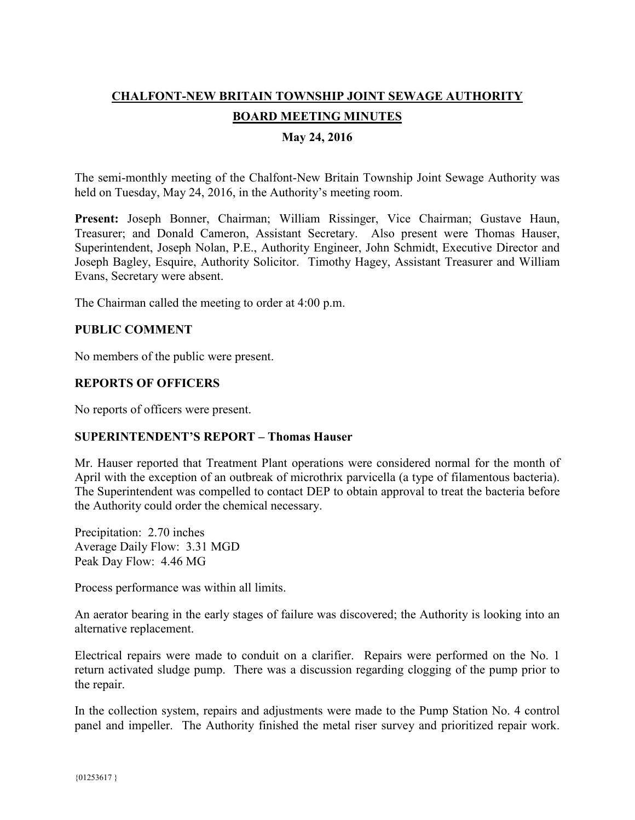# **CHALFONT-NEW BRITAIN TOWNSHIP JOINT SEWAGE AUTHORITY BOARD MEETING MINUTES May 24, 2016**

The semi-monthly meeting of the Chalfont-New Britain Township Joint Sewage Authority was held on Tuesday, May 24, 2016, in the Authority's meeting room.

**Present:** Joseph Bonner, Chairman; William Rissinger, Vice Chairman; Gustave Haun, Treasurer; and Donald Cameron, Assistant Secretary. Also present were Thomas Hauser, Superintendent, Joseph Nolan, P.E., Authority Engineer, John Schmidt, Executive Director and Joseph Bagley, Esquire, Authority Solicitor. Timothy Hagey, Assistant Treasurer and William Evans, Secretary were absent.

The Chairman called the meeting to order at 4:00 p.m.

## **PUBLIC COMMENT**

No members of the public were present.

## **REPORTS OF OFFICERS**

No reports of officers were present.

## **SUPERINTENDENT'S REPORT – Thomas Hauser**

Mr. Hauser reported that Treatment Plant operations were considered normal for the month of April with the exception of an outbreak of microthrix parvicella (a type of filamentous bacteria). The Superintendent was compelled to contact DEP to obtain approval to treat the bacteria before the Authority could order the chemical necessary.

Precipitation: 2.70 inches Average Daily Flow: 3.31 MGD Peak Day Flow: 4.46 MG

Process performance was within all limits.

An aerator bearing in the early stages of failure was discovered; the Authority is looking into an alternative replacement.

Electrical repairs were made to conduit on a clarifier. Repairs were performed on the No. 1 return activated sludge pump. There was a discussion regarding clogging of the pump prior to the repair.

In the collection system, repairs and adjustments were made to the Pump Station No. 4 control panel and impeller. The Authority finished the metal riser survey and prioritized repair work.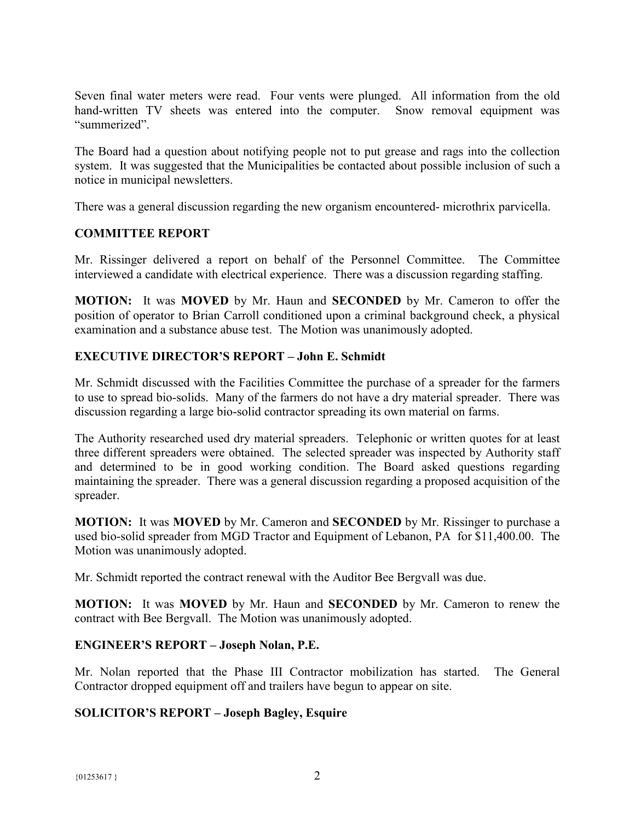Seven final water meters were read. Four vents were plunged. All information from the old hand-written TV sheets was entered into the computer. Snow removal equipment was "summerized".

The Board had a question about notifying people not to put grease and rags into the collection system. It was suggested that the Municipalities be contacted about possible inclusion of such a notice in municipal newsletters.

There was a general discussion regarding the new organism encountered- microthrix parvicella.

## **COMMITTEE REPORT**

Mr. Rissinger delivered a report on behalf of the Personnel Committee. The Committee interviewed a candidate with electrical experience. There was a discussion regarding staffing.

**MOTION:** It was **MOVED** by Mr. Haun and **SECONDED** by Mr. Cameron to offer the position of operator to Brian Carroll conditioned upon a criminal background check, a physical examination and a substance abuse test. The Motion was unanimously adopted.

## **EXECUTIVE DIRECTOR'S REPORT – John E. Schmidt**

Mr. Schmidt discussed with the Facilities Committee the purchase of a spreader for the farmers to use to spread bio-solids. Many of the farmers do not have a dry material spreader. There was discussion regarding a large bio-solid contractor spreading its own material on farms.

The Authority researched used dry material spreaders. Telephonic or written quotes for at least three different spreaders were obtained. The selected spreader was inspected by Authority staff and determined to be in good working condition. The Board asked questions regarding maintaining the spreader. There was a general discussion regarding a proposed acquisition of the spreader.

**MOTION:** It was **MOVED** by Mr. Cameron and **SECONDED** by Mr. Rissinger to purchase a used bio-solid spreader from MGD Tractor and Equipment of Lebanon, PA for \$11,400.00. The Motion was unanimously adopted.

Mr. Schmidt reported the contract renewal with the Auditor Bee Bergvall was due.

**MOTION:** It was **MOVED** by Mr. Haun and **SECONDED** by Mr. Cameron to renew the contract with Bee Bergvall. The Motion was unanimously adopted.

## **ENGINEER'S REPORT – Joseph Nolan, P.E.**

Mr. Nolan reported that the Phase III Contractor mobilization has started. The General Contractor dropped equipment off and trailers have begun to appear on site.

## **SOLICITOR'S REPORT – Joseph Bagley, Esquire**